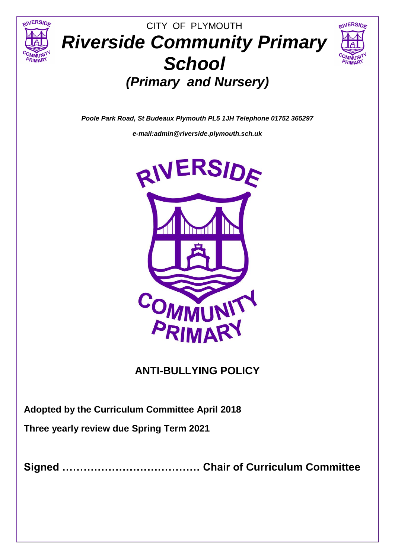



# CITY OF PLYMOUTH *Riverside Community Primary School (Primary and Nursery)*

*Poole Park Road, St Budeaux Plymouth PL5 1JH Telephone 01752 365297* 

*e-mail:admin@riverside.plymouth.sch.uk*



# **ANTI-BULLYING POLICY**

**Adopted by the Curriculum Committee April 2018**

**Three yearly review due Spring Term 2021**

**Signed ………………………………… Chair of Curriculum Committee**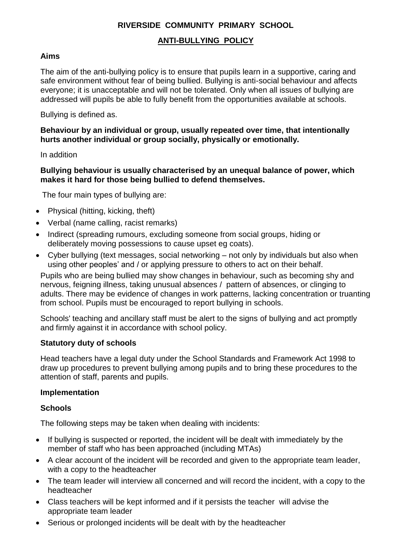## **RIVERSIDE COMMUNITY PRIMARY SCHOOL**

## **ANTI-BULLYING POLICY**

#### **Aims**

The aim of the anti-bullying policy is to ensure that pupils learn in a supportive, caring and safe environment without fear of being bullied. Bullying is anti-social behaviour and affects everyone; it is unacceptable and will not be tolerated. Only when all issues of bullying are addressed will pupils be able to fully benefit from the opportunities available at schools.

Bullying is defined as.

#### **Behaviour by an individual or group, usually repeated over time, that intentionally hurts another individual or group socially, physically or emotionally.**

In addition

#### **Bullying behaviour is usually characterised by an unequal balance of power, which makes it hard for those being bullied to defend themselves.**

The four main types of bullying are:

- Physical (hitting, kicking, theft)
- Verbal (name calling, racist remarks)
- Indirect (spreading rumours, excluding someone from social groups, hiding or deliberately moving possessions to cause upset eg coats).
- Cyber bullying (text messages, social networking not only by individuals but also when using other peoples' and / or applying pressure to others to act on their behalf.

Pupils who are being bullied may show changes in behaviour, such as becoming shy and nervous, feigning illness, taking unusual absences / pattern of absences, or clinging to adults. There may be evidence of changes in work patterns, lacking concentration or truanting from school. Pupils must be encouraged to report bullying in schools.

Schools' teaching and ancillary staff must be alert to the signs of bullying and act promptly and firmly against it in accordance with school policy.

#### **Statutory duty of schools**

Head teachers have a legal duty under the School Standards and Framework Act 1998 to draw up procedures to prevent bullying among pupils and to bring these procedures to the attention of staff, parents and pupils.

#### **Implementation**

#### **Schools**

The following steps may be taken when dealing with incidents:

- If bullying is suspected or reported, the incident will be dealt with immediately by the member of staff who has been approached (including MTAs)
- A clear account of the incident will be recorded and given to the appropriate team leader, with a copy to the headteacher
- The team leader will interview all concerned and will record the incident, with a copy to the headteacher
- Class teachers will be kept informed and if it persists the teacher will advise the appropriate team leader
- Serious or prolonged incidents will be dealt with by the headteacher